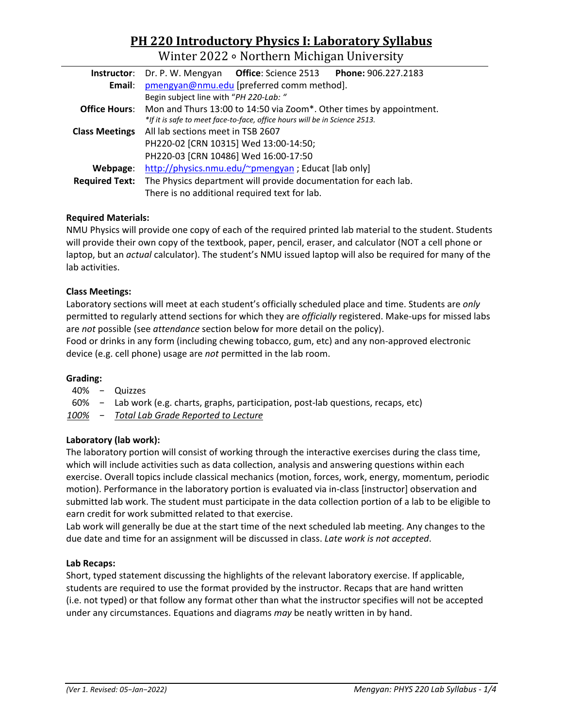# **PH 220 Introductory Physics I: Laboratory Syllabus**

Winter 2022 ∘ Northern Michigan University

| Instructor:           | Dr. P. W. Mengyan <b>Office</b> : Science 2513<br>Phone: 906.227.2183      |  |  |  |  |  |  |
|-----------------------|----------------------------------------------------------------------------|--|--|--|--|--|--|
| Email:                | pmengyan@nmu.edu [preferred comm method].                                  |  |  |  |  |  |  |
|                       | Begin subject line with "PH 220-Lab: "                                     |  |  |  |  |  |  |
| <b>Office Hours:</b>  | Mon and Thurs 13:00 to 14:50 via Zoom*. Other times by appointment.        |  |  |  |  |  |  |
|                       | *If it is safe to meet face-to-face, office hours will be in Science 2513. |  |  |  |  |  |  |
| <b>Class Meetings</b> | All lab sections meet in TSB 2607                                          |  |  |  |  |  |  |
|                       | PH220-02 [CRN 10315] Wed 13:00-14:50;                                      |  |  |  |  |  |  |
|                       | PH220-03 [CRN 10486] Wed 16:00-17:50                                       |  |  |  |  |  |  |
| Webpage:              | http://physics.nmu.edu/~pmengyan; Educat [lab only]                        |  |  |  |  |  |  |
| <b>Required Text:</b> | The Physics department will provide documentation for each lab.            |  |  |  |  |  |  |
|                       | There is no additional required text for lab.                              |  |  |  |  |  |  |

# **Required Materials:**

NMU Physics will provide one copy of each of the required printed lab material to the student. Students will provide their own copy of the textbook, paper, pencil, eraser, and calculator (NOT a cell phone or laptop, but an *actual* calculator). The student's NMU issued laptop will also be required for many of the lab activities.

# **Class Meetings:**

Laboratory sections will meet at each student's officially scheduled place and time. Students are *only* permitted to regularly attend sections for which they are *officially* registered. Make-ups for missed labs are *not* possible (see *attendance* section below for more detail on the policy).

Food or drinks in any form (including chewing tobacco, gum, etc) and any non-approved electronic device (e.g. cell phone) usage are *not* permitted in the lab room.

# **Grading:**

- 40% − Quizzes
- 60% − Lab work (e.g. charts, graphs, participation, post-lab questions, recaps, etc)

*100% − Total Lab Grade Reported to Lecture*

# **Laboratory (lab work):**

The laboratory portion will consist of working through the interactive exercises during the class time, which will include activities such as data collection, analysis and answering questions within each exercise. Overall topics include classical mechanics (motion, forces, work, energy, momentum, periodic motion). Performance in the laboratory portion is evaluated via in-class [instructor] observation and submitted lab work. The student must participate in the data collection portion of a lab to be eligible to earn credit for work submitted related to that exercise.

Lab work will generally be due at the start time of the next scheduled lab meeting. Any changes to the due date and time for an assignment will be discussed in class. *Late work is not accepted*.

# **Lab Recaps:**

Short, typed statement discussing the highlights of the relevant laboratory exercise. If applicable, students are required to use the format provided by the instructor. Recaps that are hand written (i.e. not typed) or that follow any format other than what the instructor specifies will not be accepted under any circumstances. Equations and diagrams *may* be neatly written in by hand.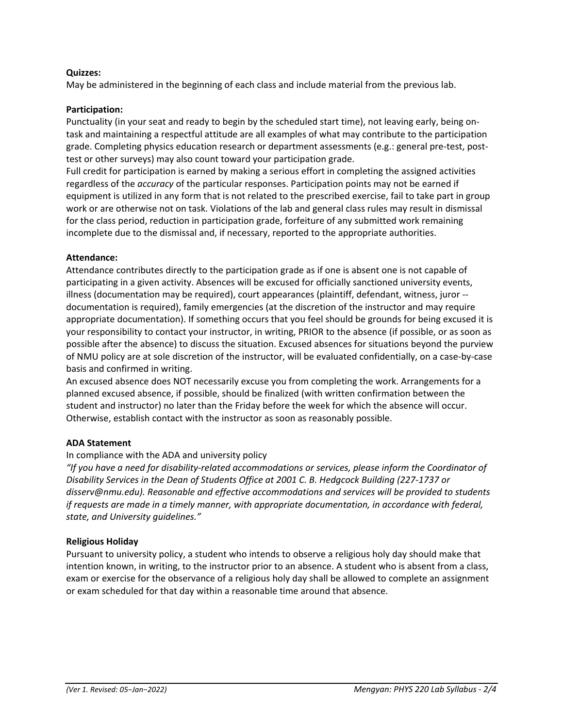# **Quizzes:**

May be administered in the beginning of each class and include material from the previous lab.

#### **Participation:**

Punctuality (in your seat and ready to begin by the scheduled start time), not leaving early, being ontask and maintaining a respectful attitude are all examples of what may contribute to the participation grade. Completing physics education research or department assessments (e.g.: general pre-test, posttest or other surveys) may also count toward your participation grade.

Full credit for participation is earned by making a serious effort in completing the assigned activities regardless of the *accuracy* of the particular responses. Participation points may not be earned if equipment is utilized in any form that is not related to the prescribed exercise, fail to take part in group work or are otherwise not on task. Violations of the lab and general class rules may result in dismissal for the class period, reduction in participation grade, forfeiture of any submitted work remaining incomplete due to the dismissal and, if necessary, reported to the appropriate authorities.

#### **Attendance:**

Attendance contributes directly to the participation grade as if one is absent one is not capable of participating in a given activity. Absences will be excused for officially sanctioned university events, illness (documentation may be required), court appearances (plaintiff, defendant, witness, juror - documentation is required), family emergencies (at the discretion of the instructor and may require appropriate documentation). If something occurs that you feel should be grounds for being excused it is your responsibility to contact your instructor, in writing, PRIOR to the absence (if possible, or as soon as possible after the absence) to discuss the situation. Excused absences for situations beyond the purview of NMU policy are at sole discretion of the instructor, will be evaluated confidentially, on a case-by-case basis and confirmed in writing.

An excused absence does NOT necessarily excuse you from completing the work. Arrangements for a planned excused absence, if possible, should be finalized (with written confirmation between the student and instructor) no later than the Friday before the week for which the absence will occur. Otherwise, establish contact with the instructor as soon as reasonably possible.

# **ADA Statement**

# In compliance with the ADA and university policy

*"If you have a need for disability-related accommodations or services, please inform the Coordinator of Disability Services in the Dean of Students Office at 2001 C. B. Hedgcock Building (227-1737 or disserv@nmu.edu). Reasonable and effective accommodations and services will be provided to students if requests are made in a timely manner, with appropriate documentation, in accordance with federal, state, and University guidelines."* 

#### **Religious Holiday**

Pursuant to university policy, a student who intends to observe a religious holy day should make that intention known, in writing, to the instructor prior to an absence. A student who is absent from a class, exam or exercise for the observance of a religious holy day shall be allowed to complete an assignment or exam scheduled for that day within a reasonable time around that absence.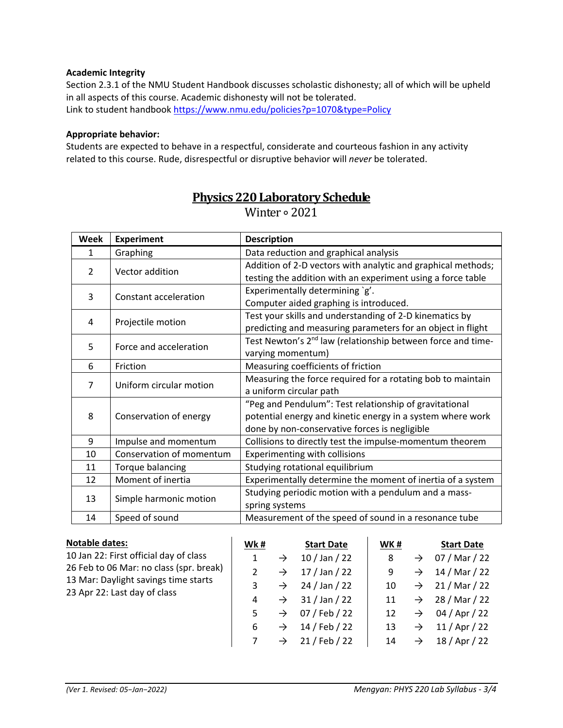# **Academic Integrity**

Section 2.3.1 of the NMU Student Handbook discusses scholastic dishonesty; all of which will be upheld in all aspects of this course. Academic dishonesty will not be tolerated. Link to student handbook<https://www.nmu.edu/policies?p=1070&type=Policy>

# **Appropriate behavior:**

Students are expected to behave in a respectful, considerate and courteous fashion in any activity related to this course. Rude, disrespectful or disruptive behavior will *never* be tolerated.

| <b>Week</b>    | <b>Experiment</b>        | <b>Description</b>                                                                                                          |  |  |  |  |
|----------------|--------------------------|-----------------------------------------------------------------------------------------------------------------------------|--|--|--|--|
| 1              | Graphing                 | Data reduction and graphical analysis                                                                                       |  |  |  |  |
| $\overline{2}$ | Vector addition          | Addition of 2-D vectors with analytic and graphical methods;<br>testing the addition with an experiment using a force table |  |  |  |  |
| 3              | Constant acceleration    | Experimentally determining `g'.<br>Computer aided graphing is introduced.                                                   |  |  |  |  |
| 4              | Projectile motion        | Test your skills and understanding of 2-D kinematics by<br>predicting and measuring parameters for an object in flight      |  |  |  |  |
| 5              | Force and acceleration   | Test Newton's 2 <sup>nd</sup> law (relationship between force and time-<br>varying momentum)                                |  |  |  |  |
| 6              | Friction                 | Measuring coefficients of friction                                                                                          |  |  |  |  |
| $\overline{7}$ | Uniform circular motion  | Measuring the force required for a rotating bob to maintain                                                                 |  |  |  |  |
|                |                          | a uniform circular path                                                                                                     |  |  |  |  |
| 8              |                          | "Peg and Pendulum": Test relationship of gravitational                                                                      |  |  |  |  |
|                | Conservation of energy   | potential energy and kinetic energy in a system where work                                                                  |  |  |  |  |
|                |                          | done by non-conservative forces is negligible                                                                               |  |  |  |  |
| 9              | Impulse and momentum     | Collisions to directly test the impulse-momentum theorem                                                                    |  |  |  |  |
| 10             | Conservation of momentum | Experimenting with collisions                                                                                               |  |  |  |  |
| 11             | Torque balancing         | Studying rotational equilibrium                                                                                             |  |  |  |  |
| 12             | Moment of inertia        | Experimentally determine the moment of inertia of a system                                                                  |  |  |  |  |
| 13             | Simple harmonic motion   | Studying periodic motion with a pendulum and a mass-<br>spring systems                                                      |  |  |  |  |
| 14             | Speed of sound           | Measurement of the speed of sound in a resonance tube                                                                       |  |  |  |  |

# **Physics 220 Laboratory Schedule**

Winter ∘ 2021

| <b>Notable dates:</b>                                                | Wk#           |               | <b>Start Date</b> | WK# |               | <b>Start Date</b> |
|----------------------------------------------------------------------|---------------|---------------|-------------------|-----|---------------|-------------------|
| 10 Jan 22: First official day of class                               | 1             | $\rightarrow$ | $10$ / Jan / 22   | 8   | $\rightarrow$ | 07 / Mar / 22     |
| 26 Feb to 06 Mar: no class (spr. break)                              | $\mathcal{P}$ | $\rightarrow$ | $17/$ Jan $/22$   | 9   | $\rightarrow$ | 14 / Mar / 22     |
| 13 Mar: Daylight savings time starts<br>23 Apr 22: Last day of class | 3             | $\rightarrow$ | 24 / Jan / 22     | 10  | $\rightarrow$ | 21 / Mar / 22     |
|                                                                      | 4             | $\rightarrow$ | 31 / Jan / 22     | 11  | $\rightarrow$ | 28 / Mar / 22     |
|                                                                      | 5             | $\rightarrow$ | 07 / Feb / 22     | 12  | $\rightarrow$ | 04 / Apr / 22     |
|                                                                      | 6             | $\rightarrow$ | 14 / Feb / 22     | 13  | $\rightarrow$ | $11/$ Apr $/$ 22  |
|                                                                      |               | $\rightarrow$ | 21 / Feb / 22     | 14  | $\rightarrow$ | 18 / Apr / 22     |